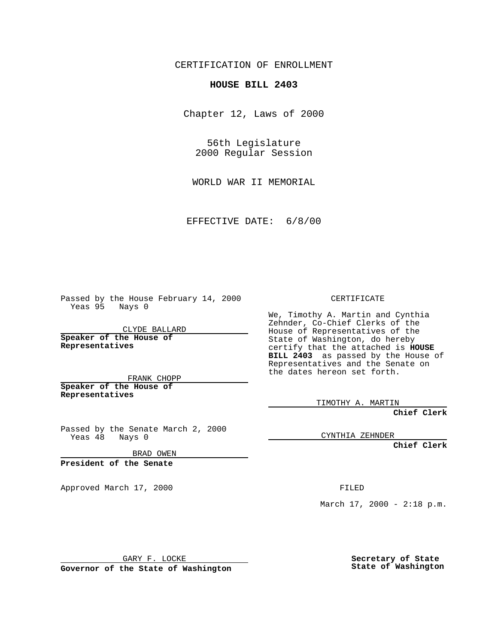CERTIFICATION OF ENROLLMENT

## **HOUSE BILL 2403**

Chapter 12, Laws of 2000

56th Legislature 2000 Regular Session

WORLD WAR II MEMORIAL

EFFECTIVE DATE: 6/8/00

Passed by the House February 14, 2000 Yeas 95 Nays 0

CLYDE BALLARD **Speaker of the House of Representatives**

FRANK CHOPP **Speaker of the House of**

**Representatives**

Passed by the Senate March 2, 2000 Yeas 48 Nays 0

BRAD OWEN

**President of the Senate**

Approved March 17, 2000 FILED

CERTIFICATE

We, Timothy A. Martin and Cynthia Zehnder, Co-Chief Clerks of the House of Representatives of the State of Washington, do hereby certify that the attached is **HOUSE BILL 2403** as passed by the House of Representatives and the Senate on the dates hereon set forth.

TIMOTHY A. MARTIN

**Chief Clerk**

CYNTHIA ZEHNDER

**Chief Clerk**

March  $17, 2000 - 2:18 p.m.$ 

GARY F. LOCKE

**Governor of the State of Washington**

**Secretary of State State of Washington**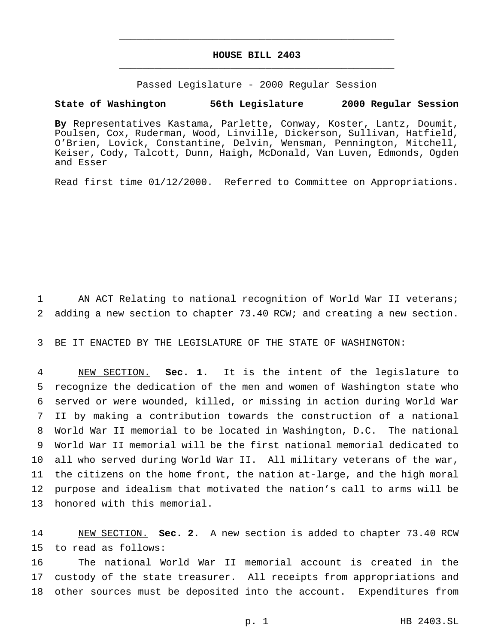## **HOUSE BILL 2403** \_\_\_\_\_\_\_\_\_\_\_\_\_\_\_\_\_\_\_\_\_\_\_\_\_\_\_\_\_\_\_\_\_\_\_\_\_\_\_\_\_\_\_\_\_\_\_

\_\_\_\_\_\_\_\_\_\_\_\_\_\_\_\_\_\_\_\_\_\_\_\_\_\_\_\_\_\_\_\_\_\_\_\_\_\_\_\_\_\_\_\_\_\_\_

Passed Legislature - 2000 Regular Session

## **State of Washington 56th Legislature 2000 Regular Session**

**By** Representatives Kastama, Parlette, Conway, Koster, Lantz, Doumit, Poulsen, Cox, Ruderman, Wood, Linville, Dickerson, Sullivan, Hatfield, O'Brien, Lovick, Constantine, Delvin, Wensman, Pennington, Mitchell, Keiser, Cody, Talcott, Dunn, Haigh, McDonald, Van Luven, Edmonds, Ogden and Esser

Read first time 01/12/2000. Referred to Committee on Appropriations.

1 AN ACT Relating to national recognition of World War II veterans; 2 adding a new section to chapter 73.40 RCW; and creating a new section.

3 BE IT ENACTED BY THE LEGISLATURE OF THE STATE OF WASHINGTON:

 NEW SECTION. **Sec. 1.** It is the intent of the legislature to recognize the dedication of the men and women of Washington state who served or were wounded, killed, or missing in action during World War II by making a contribution towards the construction of a national World War II memorial to be located in Washington, D.C. The national World War II memorial will be the first national memorial dedicated to all who served during World War II. All military veterans of the war, the citizens on the home front, the nation at-large, and the high moral purpose and idealism that motivated the nation's call to arms will be honored with this memorial.

14 NEW SECTION. **Sec. 2.** A new section is added to chapter 73.40 RCW 15 to read as follows:

16 The national World War II memorial account is created in the 17 custody of the state treasurer. All receipts from appropriations and 18 other sources must be deposited into the account. Expenditures from